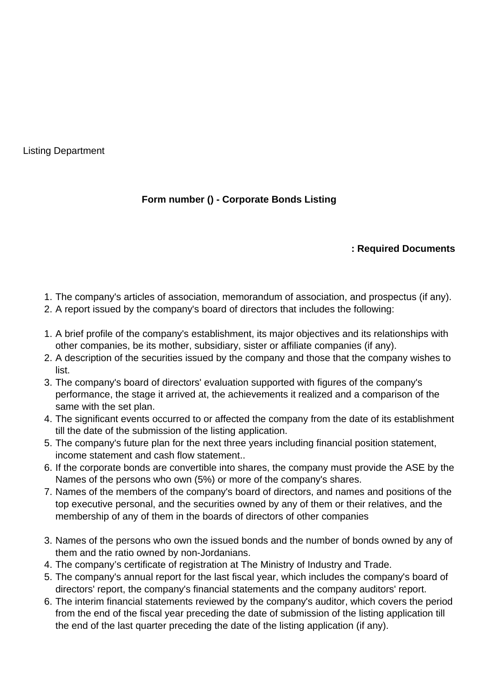Listing Department

## **Form number () - Corporate Bonds Listing**

## **: Required Documents**

- 1. The company's articles of association, memorandum of association, and prospectus (if any).
- 2. A report issued by the company's board of directors that includes the following:
- 1. A brief profile of the company's establishment, its major objectives and its relationships with other companies, be its mother, subsidiary, sister or affiliate companies (if any).
- 2. A description of the securities issued by the company and those that the company wishes to list.
- 3. The company's board of directors' evaluation supported with figures of the company's performance, the stage it arrived at, the achievements it realized and a comparison of the same with the set plan.
- 4. The significant events occurred to or affected the company from the date of its establishment till the date of the submission of the listing application.
- 5. The company's future plan for the next three years including financial position statement, income statement and cash flow statement..
- 6. If the corporate bonds are convertible into shares, the company must provide the ASE by the Names of the persons who own (5%) or more of the company's shares.
- 7. Names of the members of the company's board of directors, and names and positions of the top executive personal, and the securities owned by any of them or their relatives, and the membership of any of them in the boards of directors of other companies
- 3. Names of the persons who own the issued bonds and the number of bonds owned by any of them and the ratio owned by non-Jordanians.
- 4. The company's certificate of registration at The Ministry of Industry and Trade.
- 5. The company's annual report for the last fiscal year, which includes the company's board of directors' report, the company's financial statements and the company auditors' report.
- 6. The interim financial statements reviewed by the company's auditor, which covers the period from the end of the fiscal year preceding the date of submission of the listing application till the end of the last quarter preceding the date of the listing application (if any).